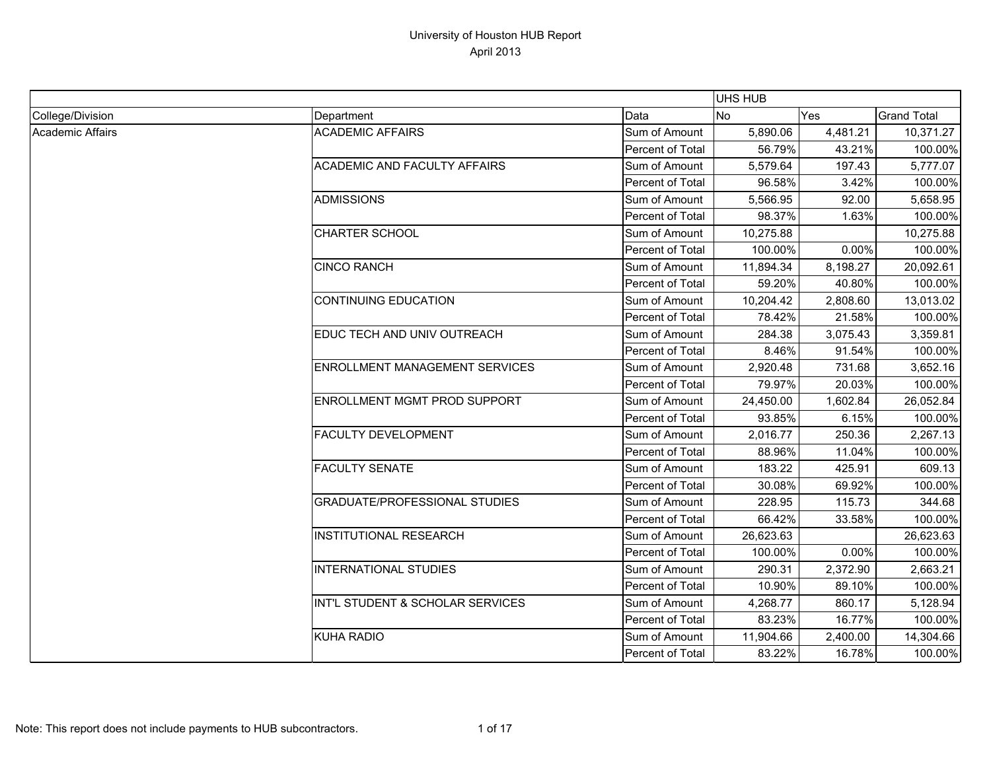|                  |                                       |                         | UHS HUB   |          |                    |
|------------------|---------------------------------------|-------------------------|-----------|----------|--------------------|
| College/Division | Department                            | Data                    | <b>No</b> | Yes      | <b>Grand Total</b> |
| Academic Affairs | <b>ACADEMIC AFFAIRS</b>               | Sum of Amount           | 5,890.06  | 4,481.21 | 10,371.27          |
|                  |                                       | Percent of Total        | 56.79%    | 43.21%   | 100.00%            |
|                  | <b>ACADEMIC AND FACULTY AFFAIRS</b>   | Sum of Amount           | 5,579.64  | 197.43   | 5,777.07           |
|                  |                                       | Percent of Total        | 96.58%    | 3.42%    | 100.00%            |
|                  | <b>ADMISSIONS</b>                     | Sum of Amount           | 5,566.95  | 92.00    | 5,658.95           |
|                  |                                       | Percent of Total        | 98.37%    | 1.63%    | 100.00%            |
|                  | <b>CHARTER SCHOOL</b>                 | Sum of Amount           | 10,275.88 |          | 10,275.88          |
|                  |                                       | Percent of Total        | 100.00%   | 0.00%    | 100.00%            |
|                  | <b>CINCO RANCH</b>                    | Sum of Amount           | 11,894.34 | 8,198.27 | 20,092.61          |
|                  |                                       | Percent of Total        | 59.20%    | 40.80%   | 100.00%            |
|                  | <b>CONTINUING EDUCATION</b>           | Sum of Amount           | 10,204.42 | 2,808.60 | 13,013.02          |
|                  |                                       | Percent of Total        | 78.42%    | 21.58%   | 100.00%            |
|                  | EDUC TECH AND UNIV OUTREACH           | Sum of Amount           | 284.38    | 3,075.43 | 3,359.81           |
|                  |                                       | Percent of Total        | 8.46%     | 91.54%   | 100.00%            |
|                  | <b>ENROLLMENT MANAGEMENT SERVICES</b> | Sum of Amount           | 2,920.48  | 731.68   | 3,652.16           |
|                  |                                       | Percent of Total        | 79.97%    | 20.03%   | 100.00%            |
|                  | <b>ENROLLMENT MGMT PROD SUPPORT</b>   | Sum of Amount           | 24,450.00 | 1,602.84 | 26,052.84          |
|                  |                                       | Percent of Total        | 93.85%    | 6.15%    | 100.00%            |
|                  | <b>FACULTY DEVELOPMENT</b>            | Sum of Amount           | 2,016.77  | 250.36   | 2,267.13           |
|                  |                                       | Percent of Total        | 88.96%    | 11.04%   | 100.00%            |
|                  | <b>FACULTY SENATE</b>                 | Sum of Amount           | 183.22    | 425.91   | 609.13             |
|                  |                                       | Percent of Total        | 30.08%    | 69.92%   | 100.00%            |
|                  | <b>GRADUATE/PROFESSIONAL STUDIES</b>  | Sum of Amount           | 228.95    | 115.73   | 344.68             |
|                  |                                       | Percent of Total        | 66.42%    | 33.58%   | 100.00%            |
|                  | <b>INSTITUTIONAL RESEARCH</b>         | Sum of Amount           | 26,623.63 |          | 26,623.63          |
|                  |                                       | <b>Percent of Total</b> | 100.00%   | 0.00%    | 100.00%            |
|                  | <b>INTERNATIONAL STUDIES</b>          | Sum of Amount           | 290.31    | 2,372.90 | 2,663.21           |
|                  |                                       | Percent of Total        | 10.90%    | 89.10%   | 100.00%            |
|                  | INT'L STUDENT & SCHOLAR SERVICES      | Sum of Amount           | 4,268.77  | 860.17   | 5,128.94           |
|                  |                                       | Percent of Total        | 83.23%    | 16.77%   | 100.00%            |
|                  | KUHA RADIO                            | Sum of Amount           | 11,904.66 | 2,400.00 | 14,304.66          |
|                  |                                       | Percent of Total        | 83.22%    | 16.78%   | 100.00%            |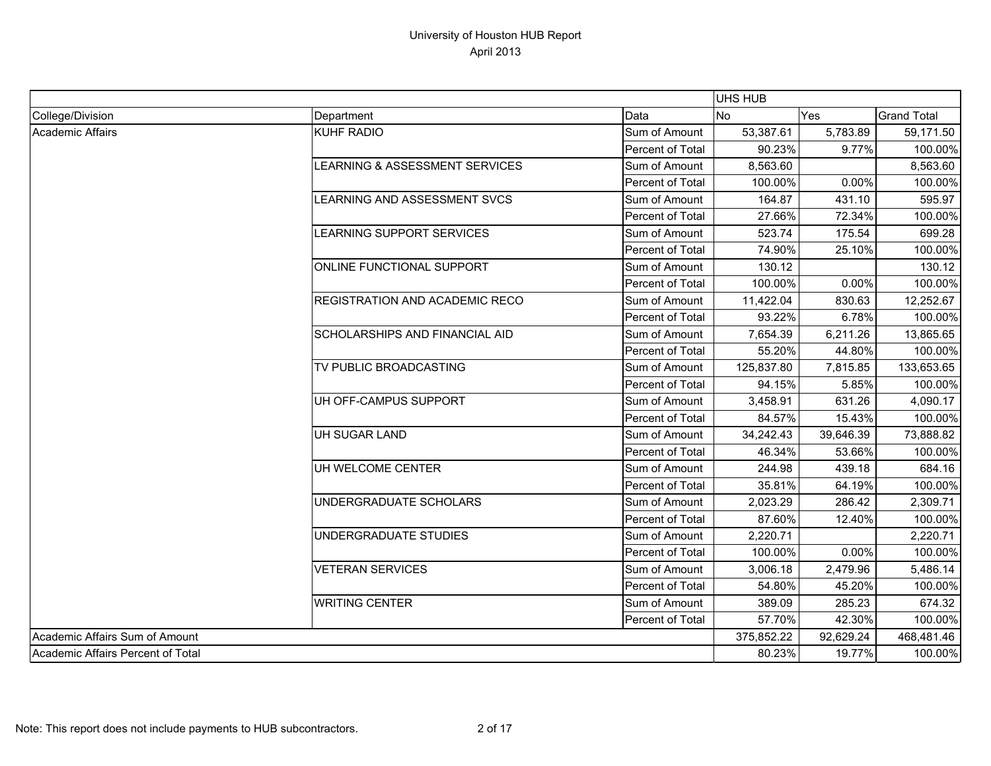|                                   |                                       |                  | UHS HUB    |           |                    |
|-----------------------------------|---------------------------------------|------------------|------------|-----------|--------------------|
| College/Division                  | Department                            | Data             | <b>No</b>  | Yes       | <b>Grand Total</b> |
| Academic Affairs                  | KUHF RADIO                            | Sum of Amount    | 53,387.61  | 5,783.89  | 59,171.50          |
|                                   |                                       | Percent of Total | 90.23%     | 9.77%     | 100.00%            |
|                                   | LEARNING & ASSESSMENT SERVICES        | Sum of Amount    | 8,563.60   |           | 8,563.60           |
|                                   |                                       | Percent of Total | 100.00%    | 0.00%     | 100.00%            |
|                                   | LEARNING AND ASSESSMENT SVCS          | Sum of Amount    | 164.87     | 431.10    | 595.97             |
|                                   |                                       | Percent of Total | 27.66%     | 72.34%    | 100.00%            |
|                                   | LEARNING SUPPORT SERVICES             | Sum of Amount    | 523.74     | 175.54    | 699.28             |
|                                   |                                       | Percent of Total | 74.90%     | 25.10%    | 100.00%            |
|                                   | ONLINE FUNCTIONAL SUPPORT             | Sum of Amount    | 130.12     |           | 130.12             |
|                                   |                                       | Percent of Total | 100.00%    | 0.00%     | 100.00%            |
|                                   | <b>REGISTRATION AND ACADEMIC RECO</b> | Sum of Amount    | 11,422.04  | 830.63    | 12,252.67          |
|                                   |                                       | Percent of Total | 93.22%     | 6.78%     | 100.00%            |
|                                   | <b>SCHOLARSHIPS AND FINANCIAL AID</b> | Sum of Amount    | 7,654.39   | 6,211.26  | 13,865.65          |
|                                   |                                       | Percent of Total | 55.20%     | 44.80%    | 100.00%            |
|                                   | TV PUBLIC BROADCASTING                | Sum of Amount    | 125,837.80 | 7,815.85  | 133,653.65         |
|                                   |                                       | Percent of Total | 94.15%     | 5.85%     | 100.00%            |
|                                   | UH OFF-CAMPUS SUPPORT                 | Sum of Amount    | 3,458.91   | 631.26    | 4,090.17           |
|                                   |                                       | Percent of Total | 84.57%     | 15.43%    | 100.00%            |
|                                   | UH SUGAR LAND                         | Sum of Amount    | 34,242.43  | 39,646.39 | 73,888.82          |
|                                   |                                       | Percent of Total | 46.34%     | 53.66%    | 100.00%            |
|                                   | UH WELCOME CENTER                     | Sum of Amount    | 244.98     | 439.18    | 684.16             |
|                                   |                                       | Percent of Total | 35.81%     | 64.19%    | 100.00%            |
|                                   | UNDERGRADUATE SCHOLARS                | Sum of Amount    | 2,023.29   | 286.42    | 2,309.71           |
|                                   |                                       | Percent of Total | 87.60%     | 12.40%    | 100.00%            |
|                                   | UNDERGRADUATE STUDIES                 | Sum of Amount    | 2,220.71   |           | 2,220.71           |
|                                   |                                       | Percent of Total | 100.00%    | 0.00%     | 100.00%            |
|                                   | <b>VETERAN SERVICES</b>               | Sum of Amount    | 3,006.18   | 2,479.96  | 5,486.14           |
|                                   |                                       | Percent of Total | 54.80%     | 45.20%    | 100.00%            |
|                                   | <b>WRITING CENTER</b>                 | Sum of Amount    | 389.09     | 285.23    | 674.32             |
|                                   |                                       | Percent of Total | 57.70%     | 42.30%    | 100.00%            |
| Academic Affairs Sum of Amount    |                                       |                  | 375,852.22 | 92,629.24 | 468,481.46         |
| Academic Affairs Percent of Total |                                       |                  | 80.23%     | 19.77%    | 100.00%            |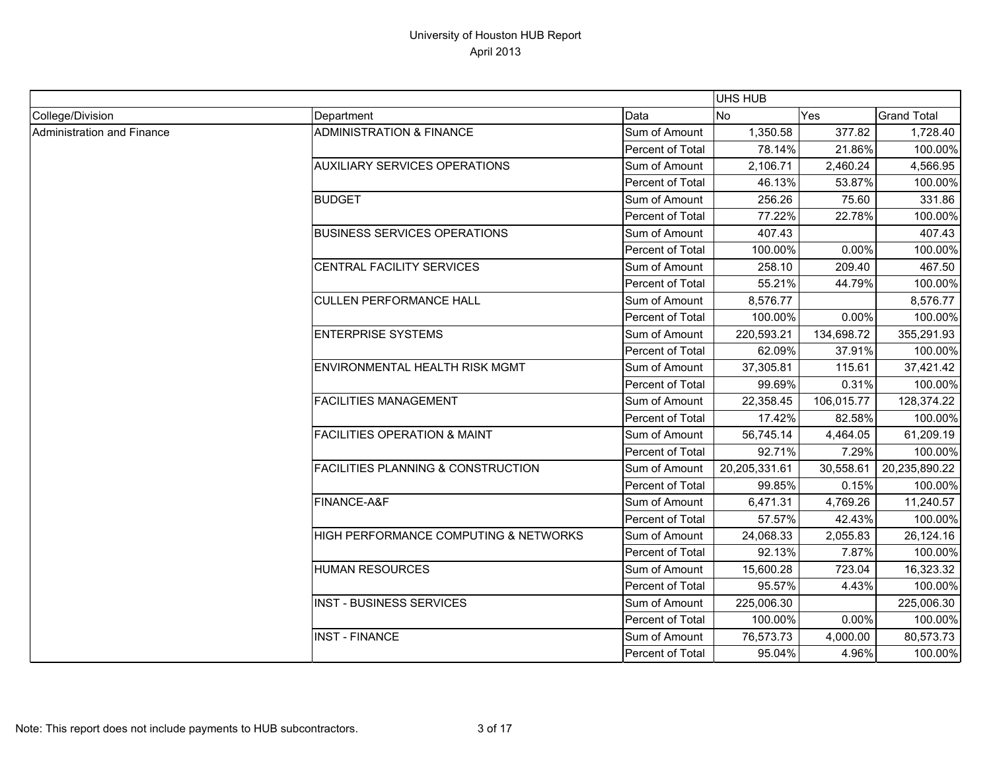|                            |                                               |                  | <b>UHS HUB</b> |            |                    |
|----------------------------|-----------------------------------------------|------------------|----------------|------------|--------------------|
| College/Division           | Department                                    | Data             | <b>No</b>      | Yes        | <b>Grand Total</b> |
| Administration and Finance | <b>ADMINISTRATION &amp; FINANCE</b>           | Sum of Amount    | 1,350.58       | 377.82     | 1,728.40           |
|                            |                                               | Percent of Total | 78.14%         | 21.86%     | 100.00%            |
|                            | <b>AUXILIARY SERVICES OPERATIONS</b>          | Sum of Amount    | 2,106.71       | 2,460.24   | 4,566.95           |
|                            |                                               | Percent of Total | 46.13%         | 53.87%     | 100.00%            |
|                            | <b>BUDGET</b>                                 | Sum of Amount    | 256.26         | 75.60      | 331.86             |
|                            |                                               | Percent of Total | 77.22%         | 22.78%     | 100.00%            |
|                            | <b>BUSINESS SERVICES OPERATIONS</b>           | Sum of Amount    | 407.43         |            | 407.43             |
|                            |                                               | Percent of Total | 100.00%        | 0.00%      | 100.00%            |
|                            | CENTRAL FACILITY SERVICES                     | Sum of Amount    | 258.10         | 209.40     | 467.50             |
|                            |                                               | Percent of Total | 55.21%         | 44.79%     | 100.00%            |
|                            | <b>CULLEN PERFORMANCE HALL</b>                | Sum of Amount    | 8,576.77       |            | 8,576.77           |
|                            |                                               | Percent of Total | 100.00%        | 0.00%      | 100.00%            |
|                            | <b>ENTERPRISE SYSTEMS</b>                     | Sum of Amount    | 220,593.21     | 134,698.72 | 355,291.93         |
|                            |                                               | Percent of Total | 62.09%         | 37.91%     | 100.00%            |
|                            | <b>ENVIRONMENTAL HEALTH RISK MGMT</b>         | Sum of Amount    | 37,305.81      | 115.61     | 37,421.42          |
|                            |                                               | Percent of Total | 99.69%         | 0.31%      | 100.00%            |
|                            | <b>FACILITIES MANAGEMENT</b>                  | Sum of Amount    | 22,358.45      | 106,015.77 | 128,374.22         |
|                            |                                               | Percent of Total | 17.42%         | 82.58%     | 100.00%            |
|                            | <b>FACILITIES OPERATION &amp; MAINT</b>       | Sum of Amount    | 56,745.14      | 4,464.05   | 61,209.19          |
|                            |                                               | Percent of Total | 92.71%         | 7.29%      | 100.00%            |
|                            | <b>FACILITIES PLANNING &amp; CONSTRUCTION</b> | Sum of Amount    | 20,205,331.61  | 30,558.61  | 20,235,890.22      |
|                            |                                               | Percent of Total | 99.85%         | 0.15%      | 100.00%            |
|                            | FINANCE-A&F                                   | Sum of Amount    | 6,471.31       | 4,769.26   | 11,240.57          |
|                            |                                               | Percent of Total | 57.57%         | 42.43%     | 100.00%            |
|                            | HIGH PERFORMANCE COMPUTING & NETWORKS         | Sum of Amount    | 24,068.33      | 2,055.83   | 26,124.16          |
|                            |                                               | Percent of Total | 92.13%         | 7.87%      | 100.00%            |
|                            | <b>HUMAN RESOURCES</b>                        | Sum of Amount    | 15,600.28      | 723.04     | 16,323.32          |
|                            |                                               | Percent of Total | 95.57%         | 4.43%      | 100.00%            |
|                            | <b>INST - BUSINESS SERVICES</b>               | Sum of Amount    | 225,006.30     |            | 225,006.30         |
|                            |                                               | Percent of Total | 100.00%        | 0.00%      | 100.00%            |
|                            | <b>INST - FINANCE</b>                         | Sum of Amount    | 76,573.73      | 4,000.00   | 80,573.73          |
|                            |                                               | Percent of Total | 95.04%         | 4.96%      | 100.00%            |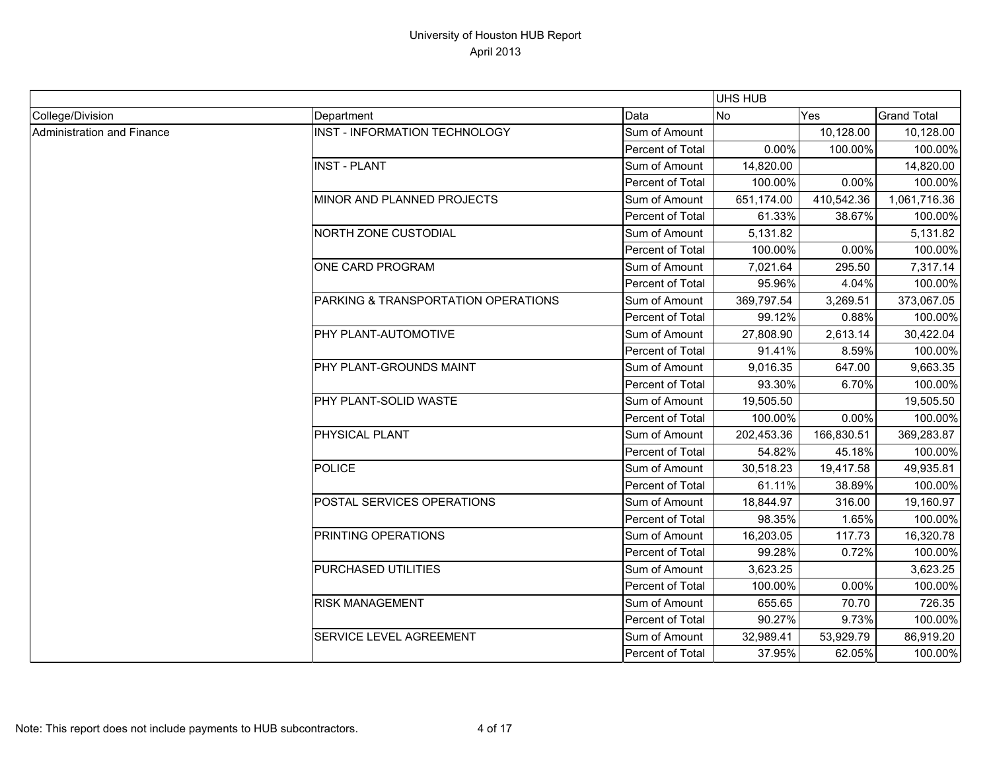|                            |                                     |                  | <b>UHS HUB</b> |            |                    |
|----------------------------|-------------------------------------|------------------|----------------|------------|--------------------|
| College/Division           | Department                          | Data             | No             | Yes        | <b>Grand Total</b> |
| Administration and Finance | INST - INFORMATION TECHNOLOGY       | Sum of Amount    |                | 10,128.00  | 10,128.00          |
|                            |                                     | Percent of Total | 0.00%          | 100.00%    | 100.00%            |
|                            | <b>INST - PLANT</b>                 | Sum of Amount    | 14,820.00      |            | 14,820.00          |
|                            |                                     | Percent of Total | 100.00%        | 0.00%      | 100.00%            |
|                            | MINOR AND PLANNED PROJECTS          | Sum of Amount    | 651,174.00     | 410,542.36 | 1,061,716.36       |
|                            |                                     | Percent of Total | 61.33%         | 38.67%     | 100.00%            |
|                            | <b>NORTH ZONE CUSTODIAL</b>         | Sum of Amount    | 5,131.82       |            | 5,131.82           |
|                            |                                     | Percent of Total | 100.00%        | 0.00%      | 100.00%            |
|                            | ONE CARD PROGRAM                    | Sum of Amount    | 7,021.64       | 295.50     | 7,317.14           |
|                            |                                     | Percent of Total | 95.96%         | 4.04%      | 100.00%            |
|                            | PARKING & TRANSPORTATION OPERATIONS | Sum of Amount    | 369,797.54     | 3,269.51   | 373,067.05         |
|                            |                                     | Percent of Total | 99.12%         | 0.88%      | 100.00%            |
|                            | PHY PLANT-AUTOMOTIVE                | Sum of Amount    | 27,808.90      | 2,613.14   | 30,422.04          |
|                            |                                     | Percent of Total | 91.41%         | 8.59%      | 100.00%            |
|                            | PHY PLANT-GROUNDS MAINT             | Sum of Amount    | 9,016.35       | 647.00     | 9,663.35           |
|                            |                                     | Percent of Total | 93.30%         | 6.70%      | 100.00%            |
|                            | <b>PHY PLANT-SOLID WASTE</b>        | Sum of Amount    | 19,505.50      |            | 19,505.50          |
|                            |                                     | Percent of Total | 100.00%        | 0.00%      | 100.00%            |
|                            | <b>PHYSICAL PLANT</b>               | Sum of Amount    | 202,453.36     | 166,830.51 | 369,283.87         |
|                            |                                     | Percent of Total | 54.82%         | 45.18%     | 100.00%            |
|                            | <b>POLICE</b>                       | Sum of Amount    | 30,518.23      | 19,417.58  | 49,935.81          |
|                            |                                     | Percent of Total | 61.11%         | 38.89%     | 100.00%            |
|                            | POSTAL SERVICES OPERATIONS          | Sum of Amount    | 18,844.97      | 316.00     | 19,160.97          |
|                            |                                     | Percent of Total | 98.35%         | 1.65%      | 100.00%            |
|                            | <b>PRINTING OPERATIONS</b>          | Sum of Amount    | 16,203.05      | 117.73     | 16,320.78          |
|                            |                                     | Percent of Total | 99.28%         | 0.72%      | 100.00%            |
|                            | <b>PURCHASED UTILITIES</b>          | Sum of Amount    | 3,623.25       |            | 3,623.25           |
|                            |                                     | Percent of Total | 100.00%        | 0.00%      | 100.00%            |
|                            | <b>RISK MANAGEMENT</b>              | Sum of Amount    | 655.65         | 70.70      | 726.35             |
|                            |                                     | Percent of Total | 90.27%         | 9.73%      | 100.00%            |
|                            | <b>SERVICE LEVEL AGREEMENT</b>      | Sum of Amount    | 32,989.41      | 53,929.79  | 86,919.20          |
|                            |                                     | Percent of Total | 37.95%         | 62.05%     | 100.00%            |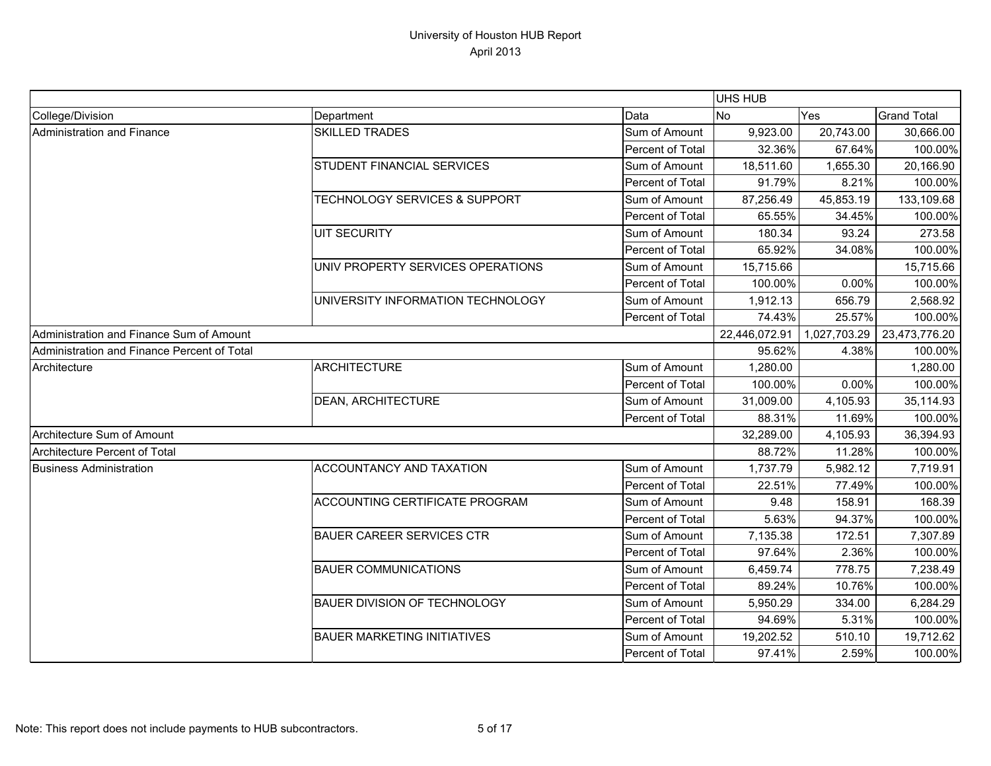|                                             |                                          |                  | UHS HUB       |              |                    |
|---------------------------------------------|------------------------------------------|------------------|---------------|--------------|--------------------|
| College/Division                            | Department                               | Data             | <b>No</b>     | Yes          | <b>Grand Total</b> |
| Administration and Finance                  | <b>SKILLED TRADES</b>                    | Sum of Amount    | 9,923.00      | 20,743.00    | 30,666.00          |
|                                             |                                          | Percent of Total | 32.36%        | 67.64%       | 100.00%            |
|                                             | STUDENT FINANCIAL SERVICES               | Sum of Amount    | 18,511.60     | 1,655.30     | 20,166.90          |
|                                             |                                          | Percent of Total | 91.79%        | 8.21%        | 100.00%            |
|                                             | <b>TECHNOLOGY SERVICES &amp; SUPPORT</b> | Sum of Amount    | 87,256.49     | 45,853.19    | 133,109.68         |
|                                             |                                          | Percent of Total | 65.55%        | 34.45%       | 100.00%            |
|                                             | <b>UIT SECURITY</b>                      | Sum of Amount    | 180.34        | 93.24        | 273.58             |
|                                             |                                          | Percent of Total | 65.92%        | 34.08%       | 100.00%            |
|                                             | UNIV PROPERTY SERVICES OPERATIONS        | Sum of Amount    | 15,715.66     |              | 15,715.66          |
|                                             |                                          | Percent of Total | 100.00%       | 0.00%        | 100.00%            |
|                                             | UNIVERSITY INFORMATION TECHNOLOGY        | Sum of Amount    | 1,912.13      | 656.79       | 2,568.92           |
|                                             |                                          | Percent of Total | 74.43%        | 25.57%       | 100.00%            |
| Administration and Finance Sum of Amount    |                                          |                  | 22,446,072.91 | 1,027,703.29 | 23,473,776.20      |
| Administration and Finance Percent of Total |                                          |                  | 95.62%        | 4.38%        | 100.00%            |
| Architecture                                | <b>ARCHITECTURE</b>                      | Sum of Amount    | 1,280.00      |              | 1,280.00           |
|                                             |                                          | Percent of Total | 100.00%       | 0.00%        | 100.00%            |
|                                             | <b>DEAN, ARCHITECTURE</b>                | Sum of Amount    | 31,009.00     | 4,105.93     | 35,114.93          |
|                                             |                                          | Percent of Total | 88.31%        | 11.69%       | 100.00%            |
| Architecture Sum of Amount                  |                                          |                  | 32,289.00     | 4,105.93     | 36,394.93          |
| Architecture Percent of Total               |                                          |                  | 88.72%        | 11.28%       | 100.00%            |
| <b>Business Administration</b>              | <b>ACCOUNTANCY AND TAXATION</b>          | Sum of Amount    | 1,737.79      | 5,982.12     | 7,719.91           |
|                                             |                                          | Percent of Total | 22.51%        | 77.49%       | 100.00%            |
|                                             | <b>ACCOUNTING CERTIFICATE PROGRAM</b>    | Sum of Amount    | 9.48          | 158.91       | 168.39             |
|                                             |                                          | Percent of Total | 5.63%         | 94.37%       | 100.00%            |
|                                             | <b>BAUER CAREER SERVICES CTR</b>         | Sum of Amount    | 7,135.38      | 172.51       | 7,307.89           |
|                                             |                                          | Percent of Total | 97.64%        | 2.36%        | 100.00%            |
|                                             | <b>BAUER COMMUNICATIONS</b>              | Sum of Amount    | 6,459.74      | 778.75       | 7,238.49           |
|                                             |                                          | Percent of Total | 89.24%        | 10.76%       | 100.00%            |
|                                             | <b>BAUER DIVISION OF TECHNOLOGY</b>      | Sum of Amount    | 5,950.29      | 334.00       | 6,284.29           |
|                                             |                                          | Percent of Total | 94.69%        | 5.31%        | 100.00%            |
|                                             | <b>BAUER MARKETING INITIATIVES</b>       | Sum of Amount    | 19,202.52     | 510.10       | 19,712.62          |
|                                             |                                          | Percent of Total | 97.41%        | 2.59%        | 100.00%            |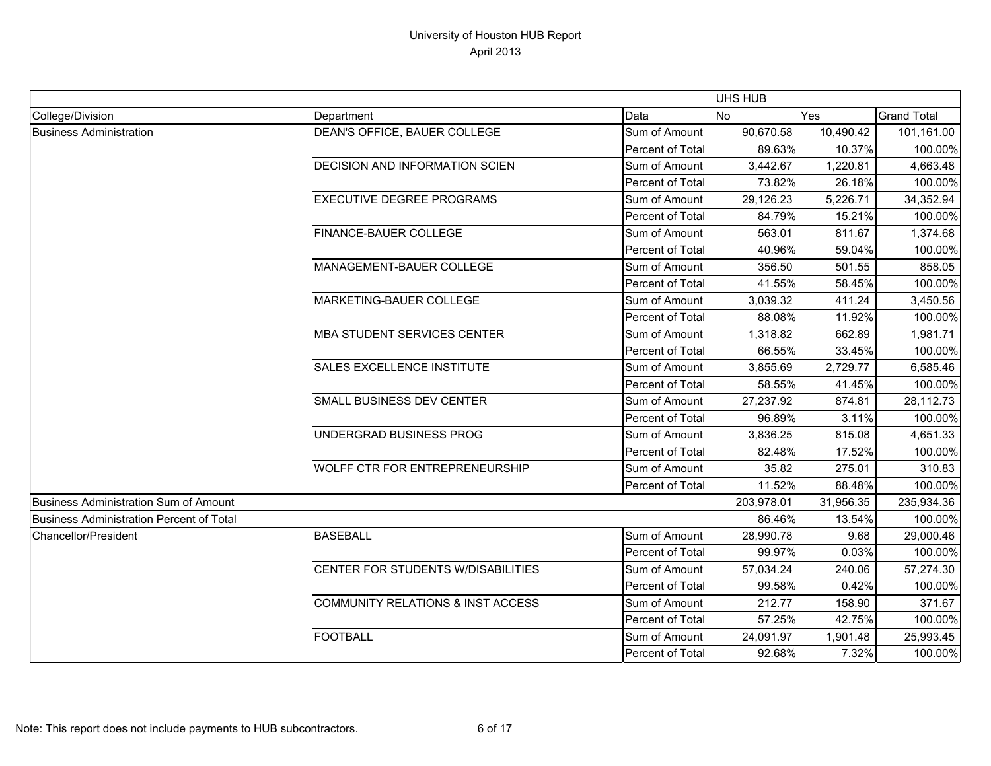|                                                 |                                              |                  | UHS HUB    |           |                    |
|-------------------------------------------------|----------------------------------------------|------------------|------------|-----------|--------------------|
| College/Division                                | Department                                   | Data             | <b>No</b>  | Yes       | <b>Grand Total</b> |
| <b>Business Administration</b>                  | DEAN'S OFFICE, BAUER COLLEGE                 | Sum of Amount    | 90,670.58  | 10,490.42 | 101,161.00         |
|                                                 |                                              | Percent of Total | 89.63%     | 10.37%    | 100.00%            |
|                                                 | DECISION AND INFORMATION SCIEN               | Sum of Amount    | 3,442.67   | 1,220.81  | 4,663.48           |
|                                                 |                                              | Percent of Total | 73.82%     | 26.18%    | 100.00%            |
|                                                 | <b>EXECUTIVE DEGREE PROGRAMS</b>             | Sum of Amount    | 29,126.23  | 5,226.71  | 34,352.94          |
|                                                 |                                              | Percent of Total | 84.79%     | 15.21%    | 100.00%            |
|                                                 | FINANCE-BAUER COLLEGE                        | Sum of Amount    | 563.01     | 811.67    | 1,374.68           |
|                                                 |                                              | Percent of Total | 40.96%     | 59.04%    | 100.00%            |
|                                                 | MANAGEMENT-BAUER COLLEGE                     | Sum of Amount    | 356.50     | 501.55    | 858.05             |
|                                                 |                                              | Percent of Total | 41.55%     | 58.45%    | 100.00%            |
|                                                 | MARKETING-BAUER COLLEGE                      | Sum of Amount    | 3,039.32   | 411.24    | 3,450.56           |
|                                                 |                                              | Percent of Total | 88.08%     | 11.92%    | 100.00%            |
|                                                 | MBA STUDENT SERVICES CENTER                  | Sum of Amount    | 1,318.82   | 662.89    | 1,981.71           |
|                                                 |                                              | Percent of Total | 66.55%     | 33.45%    | 100.00%            |
|                                                 | SALES EXCELLENCE INSTITUTE                   | Sum of Amount    | 3,855.69   | 2,729.77  | 6,585.46           |
|                                                 |                                              | Percent of Total | 58.55%     | 41.45%    | 100.00%            |
|                                                 | SMALL BUSINESS DEV CENTER                    | Sum of Amount    | 27,237.92  | 874.81    | 28,112.73          |
|                                                 |                                              | Percent of Total | 96.89%     | 3.11%     | 100.00%            |
|                                                 | UNDERGRAD BUSINESS PROG                      | Sum of Amount    | 3,836.25   | 815.08    | 4,651.33           |
|                                                 |                                              | Percent of Total | 82.48%     | 17.52%    | 100.00%            |
|                                                 | WOLFF CTR FOR ENTREPRENEURSHIP               | Sum of Amount    | 35.82      | 275.01    | 310.83             |
|                                                 |                                              | Percent of Total | 11.52%     | 88.48%    | 100.00%            |
| <b>Business Administration Sum of Amount</b>    |                                              |                  | 203,978.01 | 31,956.35 | 235,934.36         |
| <b>Business Administration Percent of Total</b> |                                              |                  | 86.46%     | 13.54%    | 100.00%            |
| Chancellor/President                            | <b>BASEBALL</b>                              | Sum of Amount    | 28,990.78  | 9.68      | 29,000.46          |
|                                                 |                                              | Percent of Total | 99.97%     | 0.03%     | 100.00%            |
|                                                 | CENTER FOR STUDENTS W/DISABILITIES           | Sum of Amount    | 57,034.24  | 240.06    | 57,274.30          |
|                                                 |                                              | Percent of Total | 99.58%     | 0.42%     | 100.00%            |
|                                                 | <b>COMMUNITY RELATIONS &amp; INST ACCESS</b> | Sum of Amount    | 212.77     | 158.90    | 371.67             |
|                                                 |                                              | Percent of Total | 57.25%     | 42.75%    | 100.00%            |
|                                                 | <b>FOOTBALL</b>                              | Sum of Amount    | 24,091.97  | 1,901.48  | 25,993.45          |
|                                                 |                                              | Percent of Total | 92.68%     | 7.32%     | 100.00%            |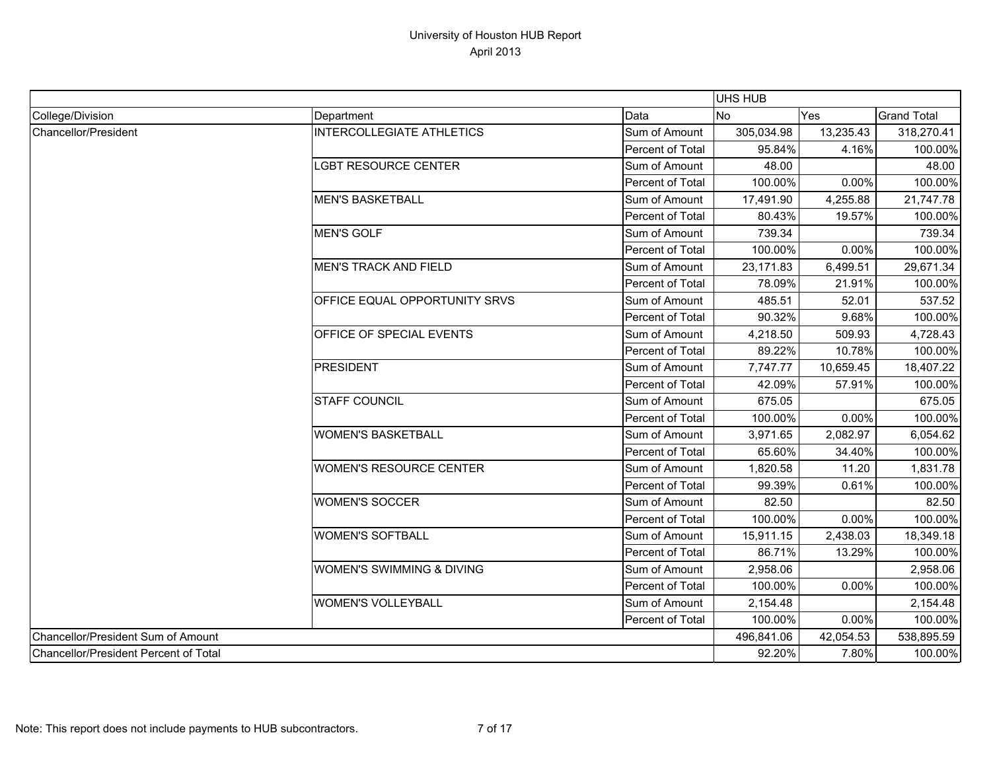|                                       |                                  |                  | <b>UHS HUB</b> |           |                    |
|---------------------------------------|----------------------------------|------------------|----------------|-----------|--------------------|
| College/Division                      | Department                       | Data             | <b>No</b>      | Yes       | <b>Grand Total</b> |
| Chancellor/President                  | <b>INTERCOLLEGIATE ATHLETICS</b> | Sum of Amount    | 305,034.98     | 13,235.43 | 318,270.41         |
|                                       |                                  | Percent of Total | 95.84%         | 4.16%     | 100.00%            |
|                                       | <b>LGBT RESOURCE CENTER</b>      | Sum of Amount    | 48.00          |           | 48.00              |
|                                       |                                  | Percent of Total | 100.00%        | 0.00%     | 100.00%            |
|                                       | <b>MEN'S BASKETBALL</b>          | Sum of Amount    | 17,491.90      | 4,255.88  | 21,747.78          |
|                                       |                                  | Percent of Total | 80.43%         | 19.57%    | 100.00%            |
|                                       | <b>MEN'S GOLF</b>                | Sum of Amount    | 739.34         |           | 739.34             |
|                                       |                                  | Percent of Total | 100.00%        | 0.00%     | 100.00%            |
|                                       | <b>MEN'S TRACK AND FIELD</b>     | Sum of Amount    | 23,171.83      | 6,499.51  | 29,671.34          |
|                                       |                                  | Percent of Total | 78.09%         | 21.91%    | 100.00%            |
|                                       | OFFICE EQUAL OPPORTUNITY SRVS    | Sum of Amount    | 485.51         | 52.01     | 537.52             |
|                                       |                                  | Percent of Total | 90.32%         | 9.68%     | 100.00%            |
|                                       | OFFICE OF SPECIAL EVENTS         | Sum of Amount    | 4,218.50       | 509.93    | 4,728.43           |
|                                       |                                  | Percent of Total | 89.22%         | 10.78%    | 100.00%            |
|                                       | <b>PRESIDENT</b>                 | Sum of Amount    | 7,747.77       | 10,659.45 | 18,407.22          |
|                                       |                                  | Percent of Total | 42.09%         | 57.91%    | 100.00%            |
|                                       | <b>STAFF COUNCIL</b>             | Sum of Amount    | 675.05         |           | 675.05             |
|                                       |                                  | Percent of Total | 100.00%        | 0.00%     | 100.00%            |
|                                       | <b>WOMEN'S BASKETBALL</b>        | Sum of Amount    | 3,971.65       | 2,082.97  | 6,054.62           |
|                                       |                                  | Percent of Total | 65.60%         | 34.40%    | 100.00%            |
|                                       | <b>WOMEN'S RESOURCE CENTER</b>   | Sum of Amount    | 1,820.58       | 11.20     | 1,831.78           |
|                                       |                                  | Percent of Total | 99.39%         | 0.61%     | 100.00%            |
|                                       | <b>WOMEN'S SOCCER</b>            | Sum of Amount    | 82.50          |           | 82.50              |
|                                       |                                  | Percent of Total | 100.00%        | 0.00%     | 100.00%            |
|                                       | <b>WOMEN'S SOFTBALL</b>          | Sum of Amount    | 15,911.15      | 2,438.03  | 18,349.18          |
|                                       |                                  | Percent of Total | 86.71%         | 13.29%    | 100.00%            |
|                                       | WOMEN'S SWIMMING & DIVING        | Sum of Amount    | 2,958.06       |           | 2,958.06           |
|                                       |                                  | Percent of Total | 100.00%        | 0.00%     | 100.00%            |
|                                       | <b>WOMEN'S VOLLEYBALL</b>        | Sum of Amount    | 2,154.48       |           | 2,154.48           |
|                                       |                                  | Percent of Total | 100.00%        | 0.00%     | 100.00%            |
| Chancellor/President Sum of Amount    |                                  |                  | 496,841.06     | 42,054.53 | 538,895.59         |
| Chancellor/President Percent of Total |                                  |                  | 92.20%         | 7.80%     | 100.00%            |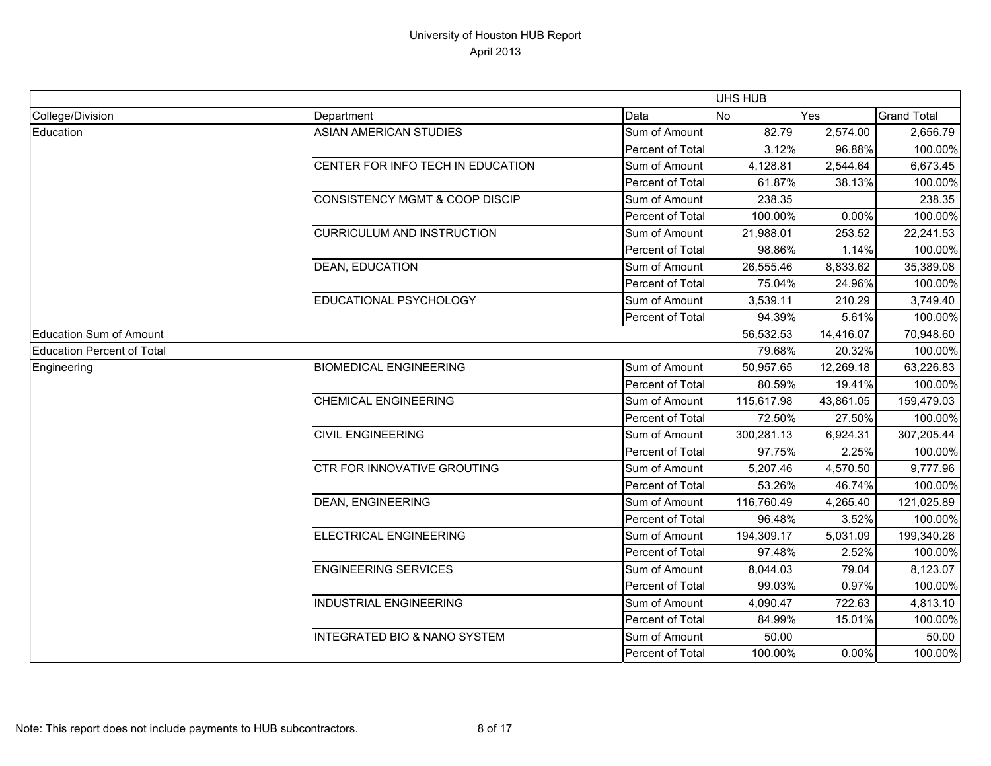|                                   |                                           |                  | UHS HUB    |           |                    |
|-----------------------------------|-------------------------------------------|------------------|------------|-----------|--------------------|
| College/Division                  | Department                                | Data             | <b>No</b>  | Yes       | <b>Grand Total</b> |
| Education                         | <b>ASIAN AMERICAN STUDIES</b>             | Sum of Amount    | 82.79      | 2,574.00  | 2,656.79           |
|                                   |                                           | Percent of Total | 3.12%      | 96.88%    | 100.00%            |
|                                   | CENTER FOR INFO TECH IN EDUCATION         | Sum of Amount    | 4,128.81   | 2,544.64  | 6,673.45           |
|                                   |                                           | Percent of Total | 61.87%     | 38.13%    | 100.00%            |
|                                   | <b>CONSISTENCY MGMT &amp; COOP DISCIP</b> | Sum of Amount    | 238.35     |           | 238.35             |
|                                   |                                           | Percent of Total | 100.00%    | 0.00%     | 100.00%            |
|                                   | <b>CURRICULUM AND INSTRUCTION</b>         | Sum of Amount    | 21,988.01  | 253.52    | 22,241.53          |
|                                   |                                           | Percent of Total | 98.86%     | 1.14%     | 100.00%            |
|                                   | <b>DEAN, EDUCATION</b>                    | Sum of Amount    | 26,555.46  | 8,833.62  | 35,389.08          |
|                                   |                                           | Percent of Total | 75.04%     | 24.96%    | 100.00%            |
|                                   | EDUCATIONAL PSYCHOLOGY                    | Sum of Amount    | 3,539.11   | 210.29    | 3,749.40           |
|                                   |                                           | Percent of Total | 94.39%     | 5.61%     | 100.00%            |
| Education Sum of Amount           |                                           |                  | 56,532.53  | 14,416.07 | 70,948.60          |
| <b>Education Percent of Total</b> |                                           |                  | 79.68%     | 20.32%    | 100.00%            |
| Engineering                       | <b>BIOMEDICAL ENGINEERING</b>             | Sum of Amount    | 50,957.65  | 12,269.18 | 63,226.83          |
|                                   |                                           | Percent of Total | 80.59%     | 19.41%    | 100.00%            |
|                                   | <b>CHEMICAL ENGINEERING</b>               | Sum of Amount    | 115,617.98 | 43,861.05 | 159,479.03         |
|                                   |                                           | Percent of Total | 72.50%     | 27.50%    | 100.00%            |
|                                   | <b>CIVIL ENGINEERING</b>                  | Sum of Amount    | 300,281.13 | 6,924.31  | 307,205.44         |
|                                   |                                           | Percent of Total | 97.75%     | 2.25%     | 100.00%            |
|                                   | CTR FOR INNOVATIVE GROUTING               | Sum of Amount    | 5,207.46   | 4,570.50  | 9,777.96           |
|                                   |                                           | Percent of Total | 53.26%     | 46.74%    | 100.00%            |
|                                   | <b>DEAN, ENGINEERING</b>                  | Sum of Amount    | 116,760.49 | 4,265.40  | 121,025.89         |
|                                   |                                           | Percent of Total | 96.48%     | 3.52%     | 100.00%            |
|                                   | ELECTRICAL ENGINEERING                    | Sum of Amount    | 194,309.17 | 5,031.09  | 199,340.26         |
|                                   |                                           | Percent of Total | 97.48%     | 2.52%     | 100.00%            |
|                                   | <b>ENGINEERING SERVICES</b>               | Sum of Amount    | 8,044.03   | 79.04     | 8,123.07           |
|                                   |                                           | Percent of Total | 99.03%     | 0.97%     | 100.00%            |
|                                   | <b>INDUSTRIAL ENGINEERING</b>             | Sum of Amount    | 4,090.47   | 722.63    | 4,813.10           |
|                                   |                                           | Percent of Total | 84.99%     | 15.01%    | 100.00%            |
|                                   | <b>INTEGRATED BIO &amp; NANO SYSTEM</b>   | Sum of Amount    | 50.00      |           | 50.00              |
|                                   |                                           | Percent of Total | 100.00%    | 0.00%     | 100.00%            |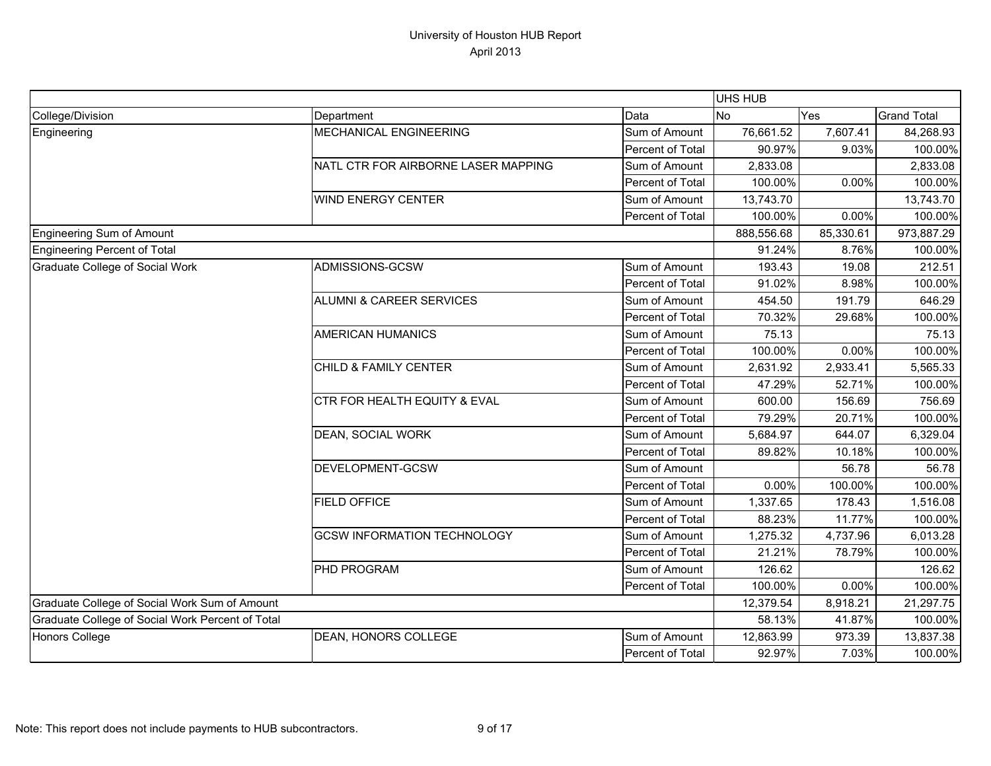|                                                  |                                         |                  | <b>UHS HUB</b> |           |                    |
|--------------------------------------------------|-----------------------------------------|------------------|----------------|-----------|--------------------|
| College/Division                                 | Department                              | Data             | <b>No</b>      | Yes       | <b>Grand Total</b> |
| Engineering                                      | MECHANICAL ENGINEERING                  | Sum of Amount    | 76,661.52      | 7,607.41  | 84,268.93          |
|                                                  |                                         | Percent of Total | 90.97%         | 9.03%     | 100.00%            |
|                                                  | NATL CTR FOR AIRBORNE LASER MAPPING     | Sum of Amount    | 2,833.08       |           | 2,833.08           |
|                                                  |                                         | Percent of Total | 100.00%        | 0.00%     | 100.00%            |
|                                                  | <b>WIND ENERGY CENTER</b>               | Sum of Amount    | 13,743.70      |           | 13,743.70          |
|                                                  |                                         | Percent of Total | 100.00%        | 0.00%     | 100.00%            |
| Engineering Sum of Amount                        |                                         |                  | 888,556.68     | 85,330.61 | 973,887.29         |
| Engineering Percent of Total                     |                                         |                  | 91.24%         | 8.76%     | 100.00%            |
| Graduate College of Social Work                  | ADMISSIONS-GCSW                         | Sum of Amount    | 193.43         | 19.08     | 212.51             |
|                                                  |                                         | Percent of Total | 91.02%         | 8.98%     | 100.00%            |
|                                                  | <b>ALUMNI &amp; CAREER SERVICES</b>     | Sum of Amount    | 454.50         | 191.79    | 646.29             |
|                                                  |                                         | Percent of Total | 70.32%         | 29.68%    | 100.00%            |
|                                                  | <b>AMERICAN HUMANICS</b>                | Sum of Amount    | 75.13          |           | 75.13              |
|                                                  |                                         | Percent of Total | 100.00%        | 0.00%     | 100.00%            |
|                                                  | CHILD & FAMILY CENTER                   | Sum of Amount    | 2,631.92       | 2,933.41  | 5,565.33           |
|                                                  |                                         | Percent of Total | 47.29%         | 52.71%    | 100.00%            |
|                                                  | <b>CTR FOR HEALTH EQUITY &amp; EVAL</b> | Sum of Amount    | 600.00         | 156.69    | 756.69             |
|                                                  |                                         | Percent of Total | 79.29%         | 20.71%    | 100.00%            |
|                                                  | <b>DEAN, SOCIAL WORK</b>                | Sum of Amount    | 5,684.97       | 644.07    | 6,329.04           |
|                                                  |                                         | Percent of Total | 89.82%         | 10.18%    | 100.00%            |
|                                                  | DEVELOPMENT-GCSW                        | Sum of Amount    |                | 56.78     | 56.78              |
|                                                  |                                         | Percent of Total | 0.00%          | 100.00%   | 100.00%            |
|                                                  | <b>FIELD OFFICE</b>                     | Sum of Amount    | 1,337.65       | 178.43    | 1,516.08           |
|                                                  |                                         | Percent of Total | 88.23%         | 11.77%    | 100.00%            |
|                                                  | <b>GCSW INFORMATION TECHNOLOGY</b>      | Sum of Amount    | 1,275.32       | 4,737.96  | 6,013.28           |
|                                                  |                                         | Percent of Total | 21.21%         | 78.79%    | 100.00%            |
|                                                  | <b>PHD PROGRAM</b>                      | Sum of Amount    | 126.62         |           | 126.62             |
|                                                  |                                         | Percent of Total | 100.00%        | 0.00%     | 100.00%            |
| Graduate College of Social Work Sum of Amount    |                                         |                  | 12,379.54      | 8,918.21  | 21,297.75          |
| Graduate College of Social Work Percent of Total |                                         |                  | 58.13%         | 41.87%    | 100.00%            |
| <b>Honors College</b>                            | DEAN, HONORS COLLEGE                    | Sum of Amount    | 12,863.99      | 973.39    | 13,837.38          |
|                                                  |                                         | Percent of Total | 92.97%         | 7.03%     | 100.00%            |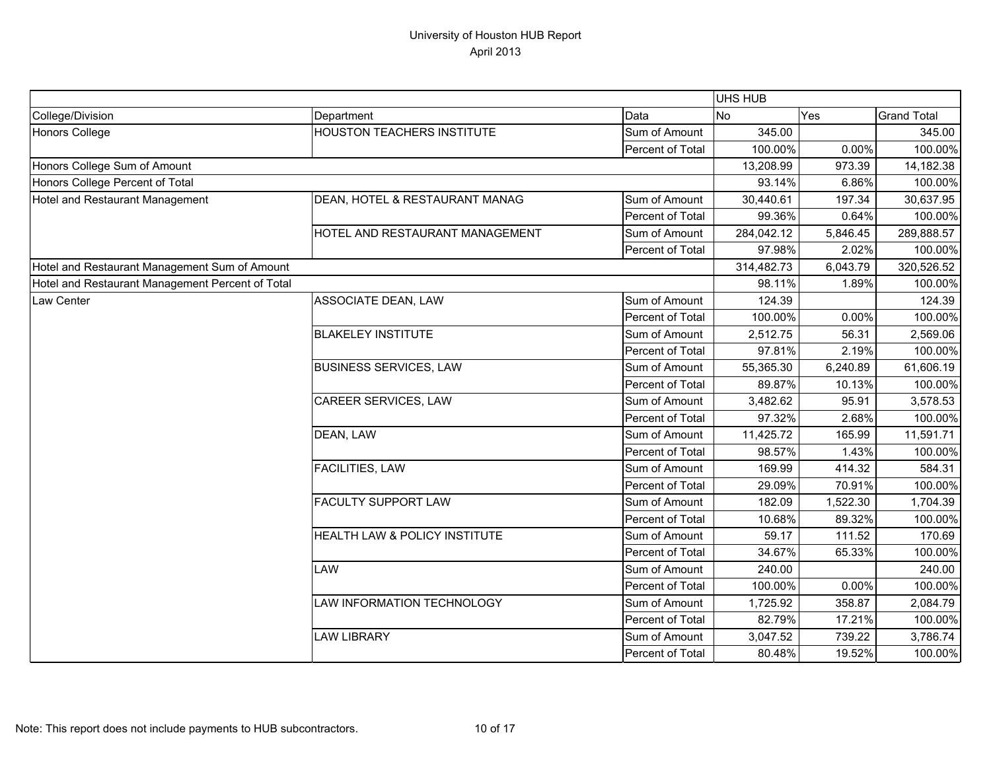|                                                  |                                   |                  | UHS HUB    |          |                    |
|--------------------------------------------------|-----------------------------------|------------------|------------|----------|--------------------|
| College/Division                                 | Department                        | Data             | <b>No</b>  | Yes      | <b>Grand Total</b> |
| Honors College                                   | <b>HOUSTON TEACHERS INSTITUTE</b> | Sum of Amount    | 345.00     |          | 345.00             |
|                                                  |                                   | Percent of Total | 100.00%    | 0.00%    | 100.00%            |
| Honors College Sum of Amount                     |                                   |                  | 13,208.99  | 973.39   | 14,182.38          |
| Honors College Percent of Total                  |                                   |                  | 93.14%     | 6.86%    | 100.00%            |
| Hotel and Restaurant Management                  | DEAN, HOTEL & RESTAURANT MANAG    | Sum of Amount    | 30,440.61  | 197.34   | 30,637.95          |
|                                                  |                                   | Percent of Total | 99.36%     | 0.64%    | 100.00%            |
|                                                  | HOTEL AND RESTAURANT MANAGEMENT   | Sum of Amount    | 284,042.12 | 5,846.45 | 289,888.57         |
|                                                  |                                   | Percent of Total | 97.98%     | 2.02%    | 100.00%            |
| Hotel and Restaurant Management Sum of Amount    |                                   |                  | 314,482.73 | 6,043.79 | 320,526.52         |
| Hotel and Restaurant Management Percent of Total |                                   |                  | 98.11%     | 1.89%    | 100.00%            |
| <b>Law Center</b>                                | <b>ASSOCIATE DEAN, LAW</b>        | Sum of Amount    | 124.39     |          | 124.39             |
|                                                  |                                   | Percent of Total | 100.00%    | 0.00%    | 100.00%            |
|                                                  | <b>BLAKELEY INSTITUTE</b>         | Sum of Amount    | 2,512.75   | 56.31    | 2,569.06           |
|                                                  |                                   | Percent of Total | 97.81%     | 2.19%    | 100.00%            |
|                                                  | <b>BUSINESS SERVICES, LAW</b>     | Sum of Amount    | 55,365.30  | 6,240.89 | 61,606.19          |
|                                                  |                                   | Percent of Total | 89.87%     | 10.13%   | 100.00%            |
|                                                  | <b>CAREER SERVICES, LAW</b>       | Sum of Amount    | 3,482.62   | 95.91    | 3,578.53           |
|                                                  |                                   | Percent of Total | 97.32%     | 2.68%    | 100.00%            |
|                                                  | DEAN, LAW                         | Sum of Amount    | 11,425.72  | 165.99   | 11,591.71          |
|                                                  |                                   | Percent of Total | 98.57%     | 1.43%    | 100.00%            |
|                                                  | <b>FACILITIES, LAW</b>            | Sum of Amount    | 169.99     | 414.32   | 584.31             |
|                                                  |                                   | Percent of Total | 29.09%     | 70.91%   | 100.00%            |
|                                                  | <b>FACULTY SUPPORT LAW</b>        | Sum of Amount    | 182.09     | 1,522.30 | 1,704.39           |
|                                                  |                                   | Percent of Total | 10.68%     | 89.32%   | 100.00%            |
|                                                  | HEALTH LAW & POLICY INSTITUTE     | Sum of Amount    | 59.17      | 111.52   | 170.69             |
|                                                  |                                   | Percent of Total | 34.67%     | 65.33%   | 100.00%            |
|                                                  | <b>LAW</b>                        | Sum of Amount    | 240.00     |          | 240.00             |
|                                                  |                                   | Percent of Total | 100.00%    | 0.00%    | 100.00%            |
|                                                  | LAW INFORMATION TECHNOLOGY        | Sum of Amount    | 1,725.92   | 358.87   | 2,084.79           |
|                                                  |                                   | Percent of Total | 82.79%     | 17.21%   | 100.00%            |
|                                                  | <b>LAW LIBRARY</b>                | Sum of Amount    | 3,047.52   | 739.22   | 3,786.74           |
|                                                  |                                   | Percent of Total | 80.48%     | 19.52%   | 100.00%            |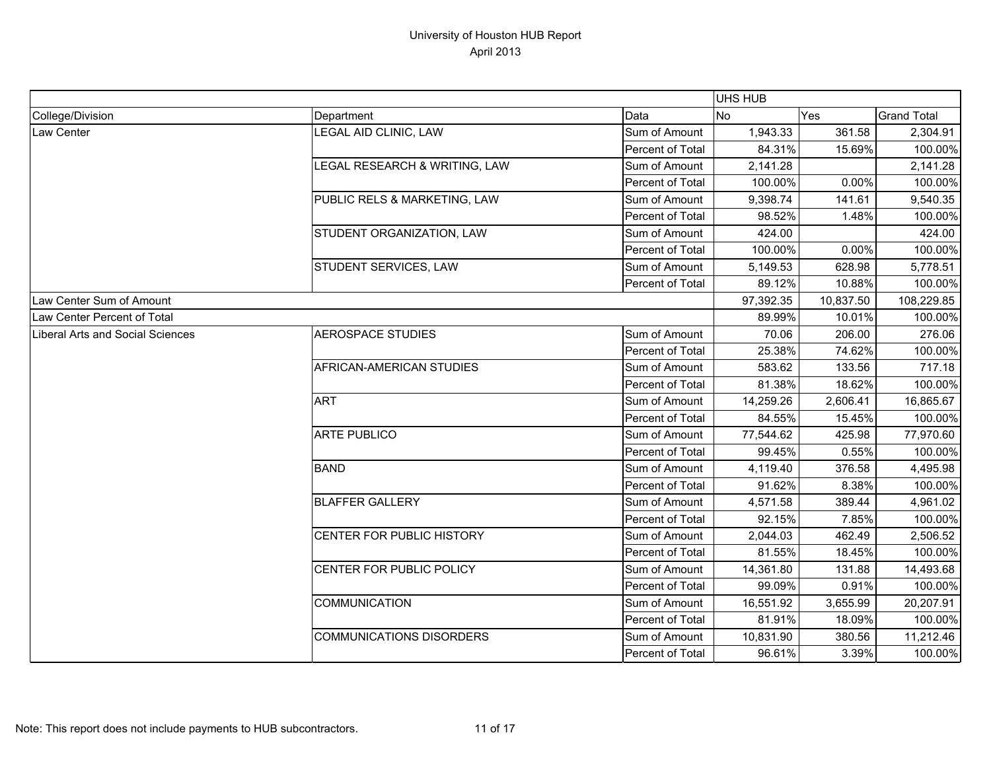|                                  |                                 |                  | UHS HUB   |           |                    |
|----------------------------------|---------------------------------|------------------|-----------|-----------|--------------------|
| College/Division                 | Department                      | Data             | <b>No</b> | Yes       | <b>Grand Total</b> |
| Law Center                       | <b>EGAL AID CLINIC, LAW</b>     | Sum of Amount    | 1,943.33  | 361.58    | 2,304.91           |
|                                  |                                 | Percent of Total | 84.31%    | 15.69%    | 100.00%            |
|                                  | LEGAL RESEARCH & WRITING, LAW   | Sum of Amount    | 2,141.28  |           | 2,141.28           |
|                                  |                                 | Percent of Total | 100.00%   | 0.00%     | 100.00%            |
|                                  | PUBLIC RELS & MARKETING, LAW    | Sum of Amount    | 9,398.74  | 141.61    | 9,540.35           |
|                                  |                                 | Percent of Total | 98.52%    | 1.48%     | 100.00%            |
|                                  | STUDENT ORGANIZATION, LAW       | Sum of Amount    | 424.00    |           | 424.00             |
|                                  |                                 | Percent of Total | 100.00%   | 0.00%     | 100.00%            |
|                                  | STUDENT SERVICES, LAW           | Sum of Amount    | 5,149.53  | 628.98    | 5,778.51           |
|                                  |                                 | Percent of Total | 89.12%    | 10.88%    | 100.00%            |
| Law Center Sum of Amount         |                                 |                  | 97,392.35 | 10,837.50 | 108,229.85         |
| Law Center Percent of Total      |                                 |                  | 89.99%    | 10.01%    | 100.00%            |
| Liberal Arts and Social Sciences | <b>AEROSPACE STUDIES</b>        | Sum of Amount    | 70.06     | 206.00    | 276.06             |
|                                  |                                 | Percent of Total | 25.38%    | 74.62%    | 100.00%            |
|                                  | AFRICAN-AMERICAN STUDIES        | Sum of Amount    | 583.62    | 133.56    | 717.18             |
|                                  |                                 | Percent of Total | 81.38%    | 18.62%    | 100.00%            |
|                                  | <b>ART</b>                      | Sum of Amount    | 14,259.26 | 2,606.41  | 16,865.67          |
|                                  |                                 | Percent of Total | 84.55%    | 15.45%    | 100.00%            |
|                                  | <b>ARTE PUBLICO</b>             | Sum of Amount    | 77,544.62 | 425.98    | 77,970.60          |
|                                  |                                 | Percent of Total | 99.45%    | 0.55%     | 100.00%            |
|                                  | <b>BAND</b>                     | Sum of Amount    | 4,119.40  | 376.58    | 4,495.98           |
|                                  |                                 | Percent of Total | 91.62%    | 8.38%     | 100.00%            |
|                                  | <b>BLAFFER GALLERY</b>          | Sum of Amount    | 4,571.58  | 389.44    | 4,961.02           |
|                                  |                                 | Percent of Total | 92.15%    | 7.85%     | 100.00%            |
|                                  | CENTER FOR PUBLIC HISTORY       | Sum of Amount    | 2,044.03  | 462.49    | 2,506.52           |
|                                  |                                 | Percent of Total | 81.55%    | 18.45%    | 100.00%            |
|                                  | CENTER FOR PUBLIC POLICY        | Sum of Amount    | 14,361.80 | 131.88    | 14,493.68          |
|                                  |                                 | Percent of Total | 99.09%    | 0.91%     | 100.00%            |
|                                  | <b>COMMUNICATION</b>            | Sum of Amount    | 16,551.92 | 3,655.99  | 20,207.91          |
|                                  |                                 | Percent of Total | 81.91%    | 18.09%    | 100.00%            |
|                                  | <b>COMMUNICATIONS DISORDERS</b> | Sum of Amount    | 10,831.90 | 380.56    | 11,212.46          |
|                                  |                                 | Percent of Total | 96.61%    | 3.39%     | 100.00%            |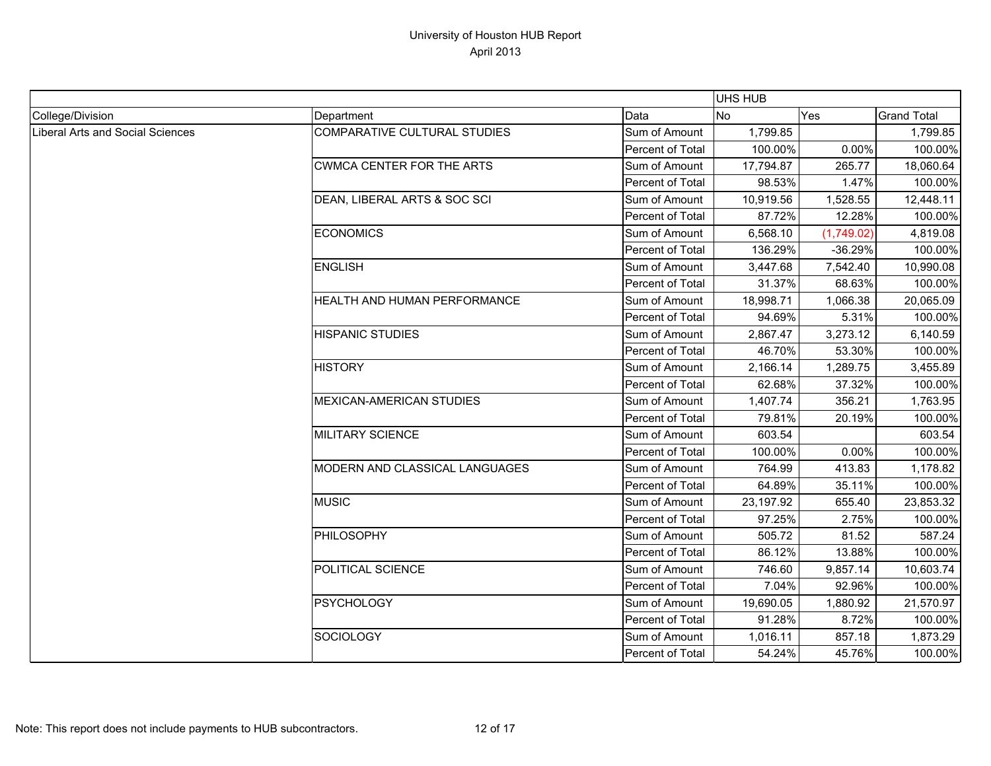|                                  |                                               |                  | UHS HUB   |            |                    |
|----------------------------------|-----------------------------------------------|------------------|-----------|------------|--------------------|
| College/Division                 | Department                                    | Data             | No        | Yes        | <b>Grand Total</b> |
| Liberal Arts and Social Sciences | COMPARATIVE CULTURAL STUDIES                  | Sum of Amount    | 1,799.85  |            | 1,799.85           |
|                                  |                                               | Percent of Total | 100.00%   | 0.00%      | 100.00%            |
|                                  | <b>CWMCA CENTER FOR THE ARTS</b>              | Sum of Amount    | 17,794.87 | 265.77     | 18,060.64          |
|                                  |                                               | Percent of Total | 98.53%    | 1.47%      | 100.00%            |
|                                  | DEAN, LIBERAL ARTS & SOC SCI<br>Sum of Amount | 10,919.56        | 1,528.55  | 12,448.11  |                    |
|                                  |                                               | Percent of Total | 87.72%    | 12.28%     | 100.00%            |
|                                  | <b>ECONOMICS</b>                              | Sum of Amount    | 6,568.10  | (1,749.02) | 4,819.08           |
|                                  |                                               | Percent of Total | 136.29%   | $-36.29%$  | 100.00%            |
|                                  | <b>ENGLISH</b>                                | Sum of Amount    | 3,447.68  | 7,542.40   | 10,990.08          |
|                                  |                                               | Percent of Total | 31.37%    | 68.63%     | 100.00%            |
|                                  | HEALTH AND HUMAN PERFORMANCE                  | Sum of Amount    | 18,998.71 | 1,066.38   | 20,065.09          |
|                                  |                                               | Percent of Total | 94.69%    | 5.31%      | 100.00%            |
|                                  | <b>HISPANIC STUDIES</b>                       | Sum of Amount    | 2,867.47  | 3,273.12   | 6,140.59           |
|                                  |                                               | Percent of Total | 46.70%    | 53.30%     | 100.00%            |
|                                  | <b>HISTORY</b>                                | Sum of Amount    | 2,166.14  | 1,289.75   | 3,455.89           |
|                                  |                                               | Percent of Total | 62.68%    | 37.32%     | 100.00%            |
|                                  | MEXICAN-AMERICAN STUDIES                      | Sum of Amount    | 1,407.74  | 356.21     | 1,763.95           |
|                                  |                                               | Percent of Total | 79.81%    | 20.19%     | 100.00%            |
|                                  | <b>MILITARY SCIENCE</b>                       | Sum of Amount    | 603.54    |            | 603.54             |
|                                  |                                               | Percent of Total | 100.00%   | 0.00%      | 100.00%            |
|                                  | MODERN AND CLASSICAL LANGUAGES                | Sum of Amount    | 764.99    | 413.83     | 1,178.82           |
|                                  |                                               | Percent of Total | 64.89%    | 35.11%     | 100.00%            |
|                                  | <b>MUSIC</b>                                  | Sum of Amount    | 23,197.92 | 655.40     | 23,853.32          |
|                                  |                                               | Percent of Total | 97.25%    | 2.75%      | 100.00%            |
|                                  | <b>PHILOSOPHY</b>                             | Sum of Amount    | 505.72    | 81.52      | 587.24             |
|                                  |                                               | Percent of Total | 86.12%    | 13.88%     | 100.00%            |
|                                  | POLITICAL SCIENCE                             | Sum of Amount    | 746.60    | 9,857.14   | 10,603.74          |
|                                  |                                               | Percent of Total | 7.04%     | 92.96%     | 100.00%            |
|                                  | <b>PSYCHOLOGY</b>                             | Sum of Amount    | 19,690.05 | 1,880.92   | 21,570.97          |
|                                  |                                               | Percent of Total | 91.28%    | 8.72%      | 100.00%            |
|                                  | <b>SOCIOLOGY</b>                              | Sum of Amount    | 1,016.11  | 857.18     | 1,873.29           |
|                                  |                                               | Percent of Total | 54.24%    | 45.76%     | 100.00%            |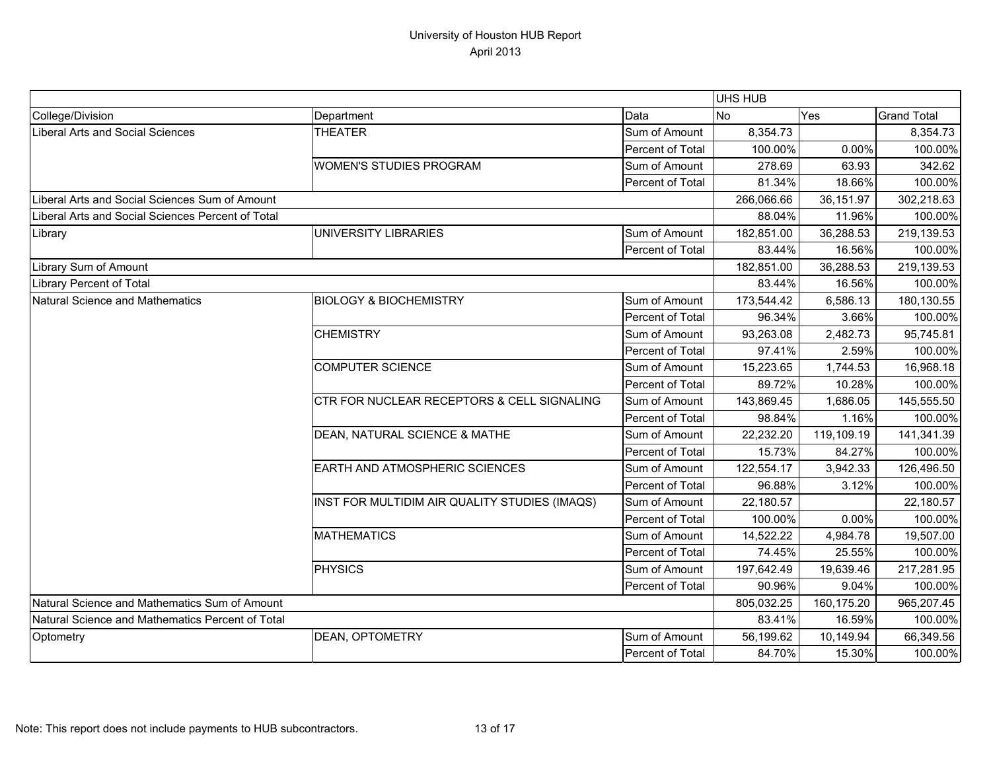|                                                   |                                               |                  | UHS HUB    |            |                    |
|---------------------------------------------------|-----------------------------------------------|------------------|------------|------------|--------------------|
| College/Division                                  | Department                                    | Data             | <b>No</b>  | Yes        | <b>Grand Total</b> |
| Liberal Arts and Social Sciences                  | <b>THEATER</b>                                | Sum of Amount    | 8,354.73   |            | 8,354.73           |
|                                                   |                                               | Percent of Total | 100.00%    | 0.00%      | 100.00%            |
|                                                   | <b>WOMEN'S STUDIES PROGRAM</b>                | Sum of Amount    | 278.69     | 63.93      | 342.62             |
|                                                   |                                               | Percent of Total | 81.34%     | 18.66%     | 100.00%            |
| Liberal Arts and Social Sciences Sum of Amount    |                                               |                  | 266,066.66 | 36,151.97  | 302,218.63         |
| Liberal Arts and Social Sciences Percent of Total |                                               | 88.04%           | 11.96%     | 100.00%    |                    |
| Library                                           | UNIVERSITY LIBRARIES                          | Sum of Amount    | 182,851.00 | 36,288.53  | 219,139.53         |
|                                                   |                                               | Percent of Total | 83.44%     | 16.56%     | 100.00%            |
| Library Sum of Amount                             |                                               |                  | 182,851.00 | 36,288.53  | 219,139.53         |
| <b>Library Percent of Total</b>                   |                                               |                  | 83.44%     | 16.56%     | 100.00%            |
| Natural Science and Mathematics                   | <b>BIOLOGY &amp; BIOCHEMISTRY</b>             | Sum of Amount    | 173,544.42 | 6,586.13   | 180,130.55         |
|                                                   |                                               | Percent of Total | 96.34%     | 3.66%      | 100.00%            |
|                                                   | <b>CHEMISTRY</b>                              | Sum of Amount    | 93,263.08  | 2,482.73   | 95,745.81          |
|                                                   |                                               | Percent of Total | 97.41%     | 2.59%      | 100.00%            |
|                                                   | <b>COMPUTER SCIENCE</b>                       | Sum of Amount    | 15,223.65  | 1,744.53   | 16,968.18          |
|                                                   |                                               | Percent of Total | 89.72%     | 10.28%     | 100.00%            |
|                                                   | CTR FOR NUCLEAR RECEPTORS & CELL SIGNALING    | Sum of Amount    | 143,869.45 | 1,686.05   | 145,555.50         |
|                                                   |                                               | Percent of Total | 98.84%     | 1.16%      | 100.00%            |
|                                                   | DEAN, NATURAL SCIENCE & MATHE                 | Sum of Amount    | 22,232.20  | 119,109.19 | 141,341.39         |
|                                                   |                                               | Percent of Total | 15.73%     | 84.27%     | 100.00%            |
|                                                   | EARTH AND ATMOSPHERIC SCIENCES                | Sum of Amount    | 122,554.17 | 3,942.33   | 126,496.50         |
|                                                   |                                               | Percent of Total | 96.88%     | 3.12%      | 100.00%            |
|                                                   | INST FOR MULTIDIM AIR QUALITY STUDIES (IMAQS) | Sum of Amount    | 22,180.57  |            | 22,180.57          |
|                                                   |                                               | Percent of Total | 100.00%    | 0.00%      | 100.00%            |
|                                                   | <b>MATHEMATICS</b>                            | Sum of Amount    | 14,522.22  | 4,984.78   | 19,507.00          |
|                                                   |                                               | Percent of Total | 74.45%     | 25.55%     | 100.00%            |
|                                                   | <b>PHYSICS</b>                                | Sum of Amount    | 197,642.49 | 19,639.46  | 217,281.95         |
|                                                   |                                               | Percent of Total | 90.96%     | 9.04%      | 100.00%            |
| Natural Science and Mathematics Sum of Amount     |                                               |                  | 805,032.25 | 160,175.20 | 965,207.45         |
| Natural Science and Mathematics Percent of Total  |                                               |                  | 83.41%     | 16.59%     | 100.00%            |
| Optometry                                         | DEAN, OPTOMETRY                               | Sum of Amount    | 56,199.62  | 10,149.94  | 66,349.56          |
|                                                   |                                               | Percent of Total | 84.70%     | 15.30%     | 100.00%            |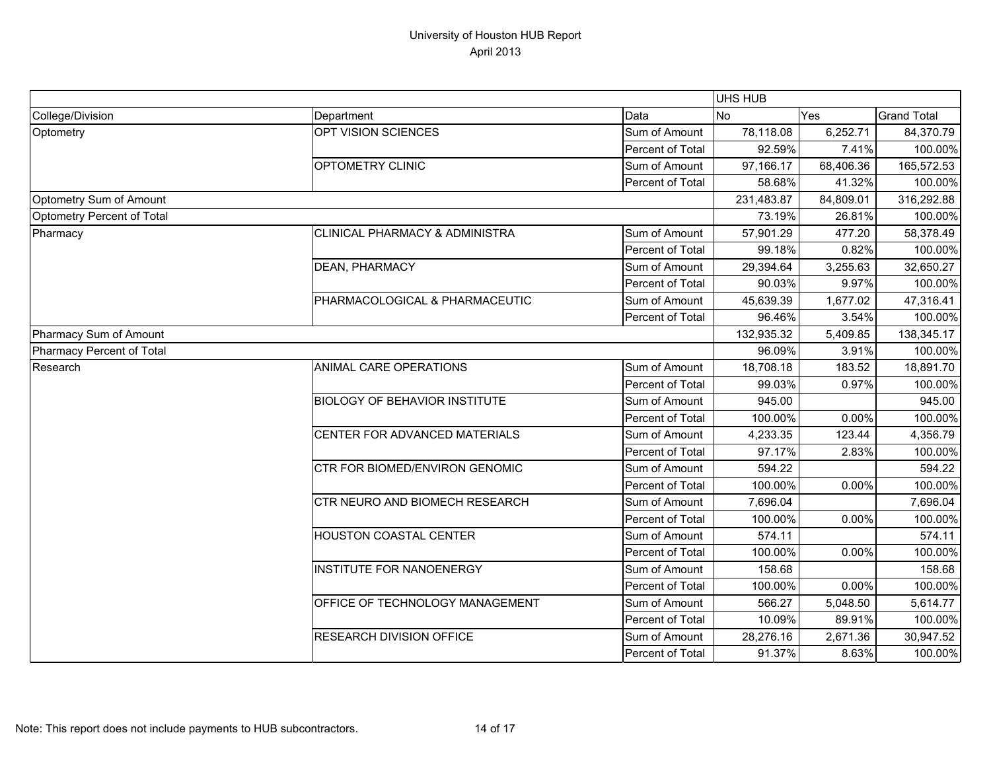|                            |                                           |                  | <b>UHS HUB</b> |           |                    |
|----------------------------|-------------------------------------------|------------------|----------------|-----------|--------------------|
| College/Division           | Department                                | Data             | <b>No</b>      | Yes       | <b>Grand Total</b> |
| Optometry                  | OPT VISION SCIENCES                       | Sum of Amount    | 78,118.08      | 6,252.71  | 84,370.79          |
|                            |                                           | Percent of Total | 92.59%         | 7.41%     | 100.00%            |
|                            | OPTOMETRY CLINIC                          | Sum of Amount    | 97,166.17      | 68,406.36 | 165,572.53         |
|                            |                                           | Percent of Total | 58.68%         | 41.32%    | 100.00%            |
| Optometry Sum of Amount    |                                           |                  | 231,483.87     | 84,809.01 | 316,292.88         |
| Optometry Percent of Total |                                           | 73.19%           | 26.81%         | 100.00%   |                    |
| Pharmacy                   | <b>CLINICAL PHARMACY &amp; ADMINISTRA</b> | Sum of Amount    | 57,901.29      | 477.20    | 58,378.49          |
|                            |                                           | Percent of Total | 99.18%         | 0.82%     | 100.00%            |
|                            | <b>DEAN, PHARMACY</b>                     | Sum of Amount    | 29,394.64      | 3,255.63  | 32,650.27          |
|                            |                                           | Percent of Total | 90.03%         | 9.97%     | 100.00%            |
|                            | PHARMACOLOGICAL & PHARMACEUTIC            | Sum of Amount    | 45,639.39      | 1,677.02  | 47,316.41          |
|                            |                                           | Percent of Total | 96.46%         | 3.54%     | 100.00%            |
| Pharmacy Sum of Amount     |                                           |                  | 132,935.32     | 5,409.85  | 138,345.17         |
| Pharmacy Percent of Total  |                                           |                  | 96.09%         | 3.91%     | 100.00%            |
| Research                   | ANIMAL CARE OPERATIONS                    | Sum of Amount    | 18,708.18      | 183.52    | 18,891.70          |
|                            |                                           | Percent of Total | 99.03%         | 0.97%     | 100.00%            |
|                            | <b>BIOLOGY OF BEHAVIOR INSTITUTE</b>      | Sum of Amount    | 945.00         |           | 945.00             |
|                            |                                           | Percent of Total | 100.00%        | 0.00%     | 100.00%            |
|                            | CENTER FOR ADVANCED MATERIALS             | Sum of Amount    | 4,233.35       | 123.44    | 4,356.79           |
|                            |                                           | Percent of Total | 97.17%         | 2.83%     | 100.00%            |
|                            | <b>CTR FOR BIOMED/ENVIRON GENOMIC</b>     | Sum of Amount    | 594.22         |           | 594.22             |
|                            |                                           | Percent of Total | 100.00%        | 0.00%     | 100.00%            |
|                            | CTR NEURO AND BIOMECH RESEARCH            | Sum of Amount    | 7,696.04       |           | 7,696.04           |
|                            |                                           | Percent of Total | 100.00%        | 0.00%     | 100.00%            |
|                            | <b>HOUSTON COASTAL CENTER</b>             | Sum of Amount    | 574.11         |           | 574.11             |
|                            |                                           | Percent of Total | 100.00%        | 0.00%     | 100.00%            |
|                            | <b>INSTITUTE FOR NANOENERGY</b>           | Sum of Amount    | 158.68         |           | 158.68             |
|                            |                                           | Percent of Total | 100.00%        | 0.00%     | 100.00%            |
|                            | OFFICE OF TECHNOLOGY MANAGEMENT           | Sum of Amount    | 566.27         | 5,048.50  | 5,614.77           |
|                            |                                           | Percent of Total | 10.09%         | 89.91%    | 100.00%            |
|                            | <b>RESEARCH DIVISION OFFICE</b>           | Sum of Amount    | 28,276.16      | 2,671.36  | 30,947.52          |
|                            |                                           | Percent of Total | 91.37%         | 8.63%     | 100.00%            |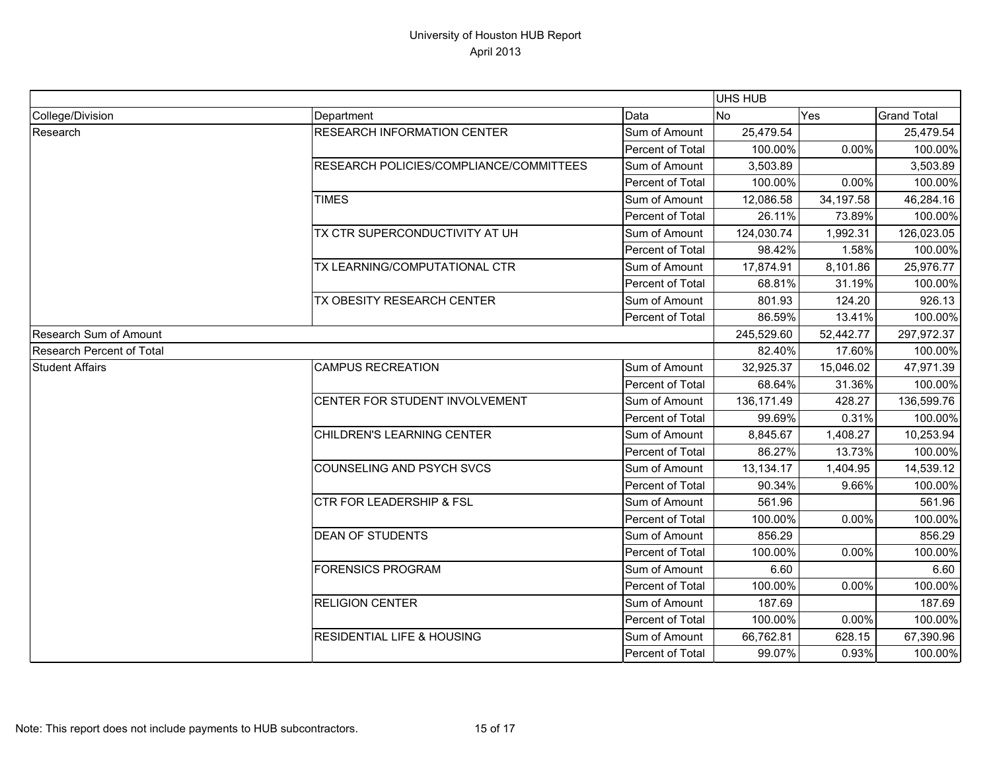|                           |                                         |                  | <b>UHS HUB</b> |           |                    |  |
|---------------------------|-----------------------------------------|------------------|----------------|-----------|--------------------|--|
| College/Division          | Department                              | Data             | <b>No</b>      | Yes       | <b>Grand Total</b> |  |
| Research                  | <b>RESEARCH INFORMATION CENTER</b>      | Sum of Amount    | 25,479.54      |           | 25,479.54          |  |
|                           |                                         | Percent of Total | 100.00%        | 0.00%     | 100.00%            |  |
|                           | RESEARCH POLICIES/COMPLIANCE/COMMITTEES | Sum of Amount    | 3,503.89       |           | 3,503.89           |  |
|                           |                                         | Percent of Total | 100.00%        | 0.00%     | 100.00%            |  |
|                           | <b>TIMES</b>                            | Sum of Amount    | 12,086.58      | 34,197.58 | 46,284.16          |  |
|                           |                                         | Percent of Total | 26.11%         | 73.89%    | 100.00%            |  |
|                           | TX CTR SUPERCONDUCTIVITY AT UH          | Sum of Amount    | 124,030.74     | 1,992.31  | 126,023.05         |  |
|                           |                                         | Percent of Total | 98.42%         | 1.58%     | 100.00%            |  |
|                           | TX LEARNING/COMPUTATIONAL CTR           | Sum of Amount    | 17,874.91      | 8,101.86  | 25,976.77          |  |
|                           |                                         | Percent of Total | 68.81%         | 31.19%    | 100.00%            |  |
|                           | TX OBESITY RESEARCH CENTER              | Sum of Amount    | 801.93         | 124.20    | 926.13             |  |
|                           |                                         | Percent of Total | 86.59%         | 13.41%    | 100.00%            |  |
| Research Sum of Amount    |                                         |                  | 245,529.60     | 52,442.77 | 297,972.37         |  |
| Research Percent of Total |                                         |                  | 82.40%         | 17.60%    | 100.00%            |  |
| <b>Student Affairs</b>    | <b>CAMPUS RECREATION</b>                | Sum of Amount    | 32,925.37      | 15,046.02 | 47,971.39          |  |
|                           |                                         | Percent of Total | 68.64%         | 31.36%    | 100.00%            |  |
|                           | CENTER FOR STUDENT INVOLVEMENT          | Sum of Amount    | 136, 171.49    | 428.27    | 136,599.76         |  |
|                           |                                         | Percent of Total | 99.69%         | 0.31%     | 100.00%            |  |
|                           | CHILDREN'S LEARNING CENTER              | Sum of Amount    | 8,845.67       | 1,408.27  | 10,253.94          |  |
|                           |                                         | Percent of Total | 86.27%         | 13.73%    | 100.00%            |  |
|                           | <b>COUNSELING AND PSYCH SVCS</b>        | Sum of Amount    | 13,134.17      | 1,404.95  | 14,539.12          |  |
|                           |                                         | Percent of Total | 90.34%         | 9.66%     | 100.00%            |  |
|                           | <b>CTR FOR LEADERSHIP &amp; FSL</b>     | Sum of Amount    | 561.96         |           | 561.96             |  |
|                           |                                         | Percent of Total | 100.00%        | 0.00%     | 100.00%            |  |
|                           | <b>DEAN OF STUDENTS</b>                 | Sum of Amount    | 856.29         |           | 856.29             |  |
|                           |                                         | Percent of Total | 100.00%        | 0.00%     | 100.00%            |  |
|                           | <b>FORENSICS PROGRAM</b>                | Sum of Amount    | 6.60           |           | 6.60               |  |
|                           |                                         | Percent of Total | 100.00%        | 0.00%     | 100.00%            |  |
|                           | <b>RELIGION CENTER</b>                  | Sum of Amount    | 187.69         |           | 187.69             |  |
|                           |                                         | Percent of Total | 100.00%        | 0.00%     | 100.00%            |  |
|                           | <b>RESIDENTIAL LIFE &amp; HOUSING</b>   | Sum of Amount    | 66,762.81      | 628.15    | 67,390.96          |  |
|                           |                                         | Percent of Total | 99.07%         | 0.93%     | 100.00%            |  |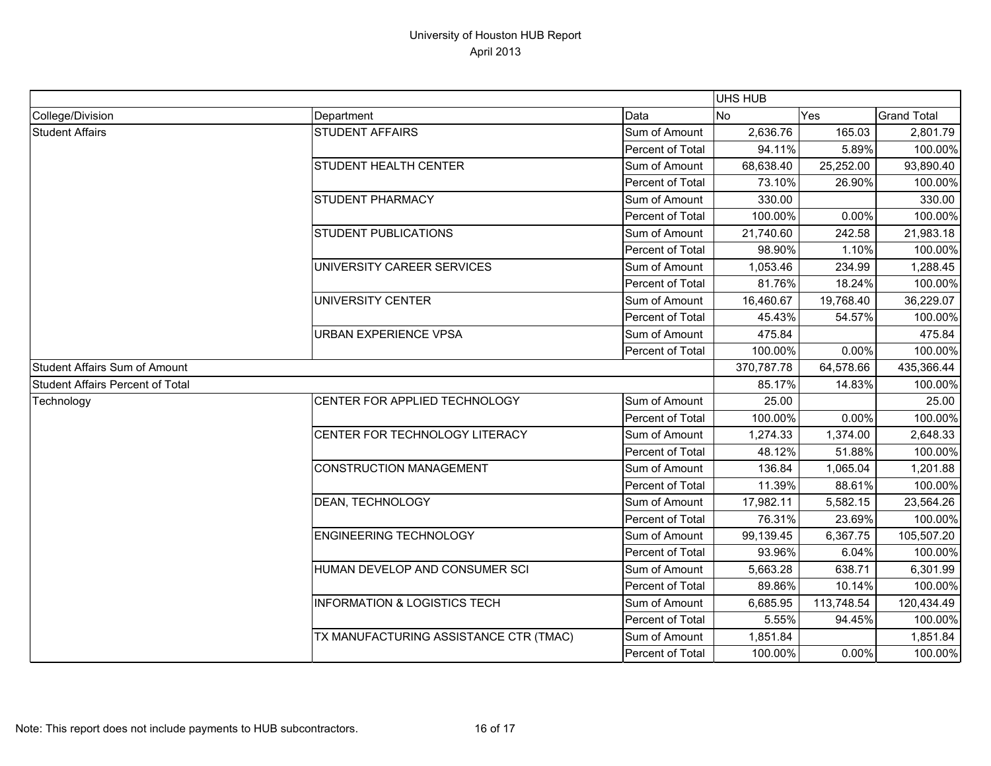|                                         |                                         |                  | UHS HUB   |            |                    |
|-----------------------------------------|-----------------------------------------|------------------|-----------|------------|--------------------|
| College/Division                        | Department                              | Data             | <b>No</b> | Yes        | <b>Grand Total</b> |
| <b>Student Affairs</b>                  | <b>STUDENT AFFAIRS</b>                  | Sum of Amount    | 2,636.76  | 165.03     | 2,801.79           |
|                                         |                                         | Percent of Total | 94.11%    | 5.89%      | 100.00%            |
|                                         | <b>STUDENT HEALTH CENTER</b>            | Sum of Amount    | 68,638.40 | 25,252.00  | 93,890.40          |
|                                         |                                         | Percent of Total | 73.10%    | 26.90%     | 100.00%            |
|                                         | <b>STUDENT PHARMACY</b>                 | Sum of Amount    | 330.00    |            | 330.00             |
|                                         |                                         | Percent of Total | 100.00%   | 0.00%      | 100.00%            |
|                                         | <b>STUDENT PUBLICATIONS</b>             | Sum of Amount    | 21,740.60 | 242.58     | 21,983.18          |
|                                         |                                         | Percent of Total | 98.90%    | 1.10%      | 100.00%            |
|                                         | UNIVERSITY CAREER SERVICES              | Sum of Amount    | 1,053.46  | 234.99     | 1,288.45           |
|                                         |                                         | Percent of Total | 81.76%    | 18.24%     | 100.00%            |
|                                         | <b>UNIVERSITY CENTER</b>                | Sum of Amount    | 16,460.67 | 19,768.40  | 36,229.07          |
|                                         |                                         | Percent of Total | 45.43%    | 54.57%     | 100.00%            |
|                                         | <b>URBAN EXPERIENCE VPSA</b>            | Sum of Amount    | 475.84    |            | 475.84             |
|                                         |                                         | Percent of Total | 100.00%   | 0.00%      | 100.00%            |
| <b>Student Affairs Sum of Amount</b>    |                                         | 370,787.78       | 64,578.66 | 435,366.44 |                    |
| <b>Student Affairs Percent of Total</b> |                                         |                  | 85.17%    | 14.83%     | 100.00%            |
| Technology                              | CENTER FOR APPLIED TECHNOLOGY           | Sum of Amount    | 25.00     |            | 25.00              |
|                                         |                                         | Percent of Total | 100.00%   | 0.00%      | 100.00%            |
|                                         | CENTER FOR TECHNOLOGY LITERACY          | Sum of Amount    | 1,274.33  | 1,374.00   | 2,648.33           |
|                                         |                                         | Percent of Total | 48.12%    | 51.88%     | 100.00%            |
|                                         | <b>CONSTRUCTION MANAGEMENT</b>          | Sum of Amount    | 136.84    | 1,065.04   | 1,201.88           |
|                                         |                                         | Percent of Total | 11.39%    | 88.61%     | 100.00%            |
|                                         | DEAN, TECHNOLOGY                        | Sum of Amount    | 17,982.11 | 5,582.15   | 23,564.26          |
|                                         |                                         | Percent of Total | 76.31%    | 23.69%     | 100.00%            |
|                                         | <b>ENGINEERING TECHNOLOGY</b>           | Sum of Amount    | 99,139.45 | 6,367.75   | 105,507.20         |
|                                         |                                         | Percent of Total | 93.96%    | 6.04%      | 100.00%            |
|                                         | HUMAN DEVELOP AND CONSUMER SCI          | Sum of Amount    | 5,663.28  | 638.71     | 6,301.99           |
|                                         |                                         | Percent of Total | 89.86%    | 10.14%     | 100.00%            |
|                                         | <b>INFORMATION &amp; LOGISTICS TECH</b> | Sum of Amount    | 6,685.95  | 113,748.54 | 120,434.49         |
|                                         |                                         | Percent of Total | 5.55%     | 94.45%     | 100.00%            |
|                                         | TX MANUFACTURING ASSISTANCE CTR (TMAC)  | Sum of Amount    | 1,851.84  |            | 1,851.84           |
|                                         |                                         | Percent of Total | 100.00%   | 0.00%      | 100.00%            |